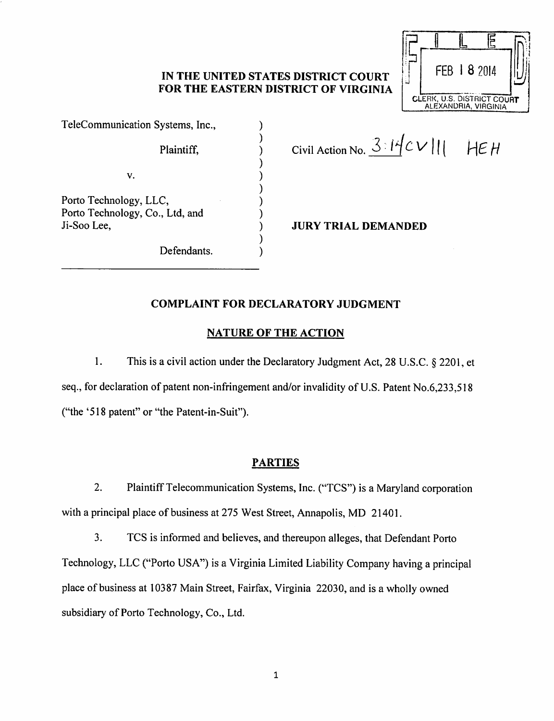## *IN THE UNITED STATES DISTRICT COURT FOR THE EASTERN DISTRICT OF VIRGINIA*

 $\mathcal{E}$ 

 $\lambda$ 

 $\lambda$ 

)  $\lambda$ )  $\lambda$ 

Telecommunication Systems, Inc.,

V.

Porto Technology, LLC, Porto Technology, Co., Ltd, and Ji-Soo Lee,

Defendants.

Plaintiff,  $\begin{array}{ccc} \n\end{array}$  Civil Action No.  $\frac{3.14}{c}$  V | | | HE H

*i:-|*

*I i IE*

*FEB I 8 2014*

*ft1*

*J*

CLERK, U.S. DISTRICT COURT ALEXANDRIA, VIRGINIA

*JURY TRIAL DEMANDED*

# *COMPLAINT FOR DECLARATORY JUDGMENT*

## *NATURE OF THE ACTION*

1. This is a civil action under the Declaratory Judgment Act, 28 U.S.C. § 2201, et seq., for declaration of patent non-infringement and/or invalidity of U.S. Patent No.6,233,518 ("the '518 patent" or "the Patent-in-Suit").

## *PARTIES*

2. Plaintiff Telecommunication Systems, Inc. ("TCS") is a Maryland corporation with a principal place of business at 275 West Street, Annapolis, MD 21401.

3. TCS is informed and believes, and thereupon alleges, that Defendant Porto Technology, LLC ("Porto USA") is a Virginia Limited Liability Company having a principal place of business at 10387 Main Street, Fairfax, Virginia 22030, and is a wholly owned subsidiary of Porto Technology, Co., Ltd.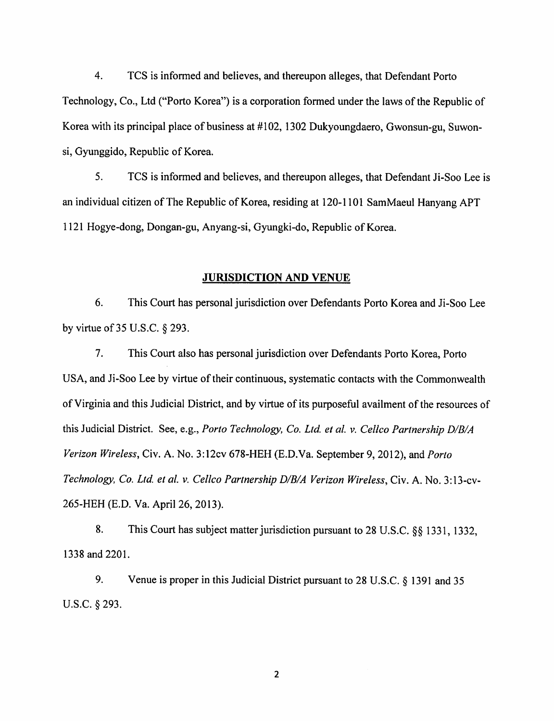4. TCS is informed and believes, and thereupon alleges, that Defendant Porto Technology, Co., Ltd ("Porto Korea") is a corporation formed under the laws of the Republic of Korea with its principal place of business at #102,1302 Dukyoungdaero, Gwonsun-gu, Suwonsi, Gyunggido, Republic of Korea.

5. TCS is informed and believes, and thereupon alleges, that Defendant Ji-Soo Lee is an individual citizen of The Republic of Korea, residing at 120-1101 SamMaeul Hanyang APT 1121 Hogye-dong, Dongan-gu, Anyang-si, Gyungki-do, Republic of Korea.

#### *JURISDICTION AND* VENUE

6. This Court has personal jurisdiction over Defendants Porto Korea and Ji-Soo Lee by virtue of 35 U.S.C. §293.

7. This Court also has personal jurisdiction over Defendants Porto Korea, Porto USA, and Ji-Soo Lee by virtue of their continuous, systematic contacts with the Commonwealth of Virginia and this Judicial District, and by virtue of its purposeful availment of the resources of this Judicial District. See, e.g., **Porto Technology, Co. Ltd. et al v. Cellco Partnership D/B/A Verizon Wireless,** Civ. A. No. 3:12cv 678-HEH (E.D.Va. September 9, 2012), and **Porto Technology, Co. Ltd. et al. v. Cellco Partnership D/B/A Verizon Wireless,** Civ. A. No. 3:13-cv-265-HEH (E.D. Va. April 26, 2013).

8. This Court has subject matter jurisdiction pursuant to 28 U.S.C. §§ 1331, 1332, 1338 and 2201.

9. Venue is proper in this Judicial District pursuant to 28 U.S.C. § 1391 and 35 U.S.C. §293.

 $\overline{2}$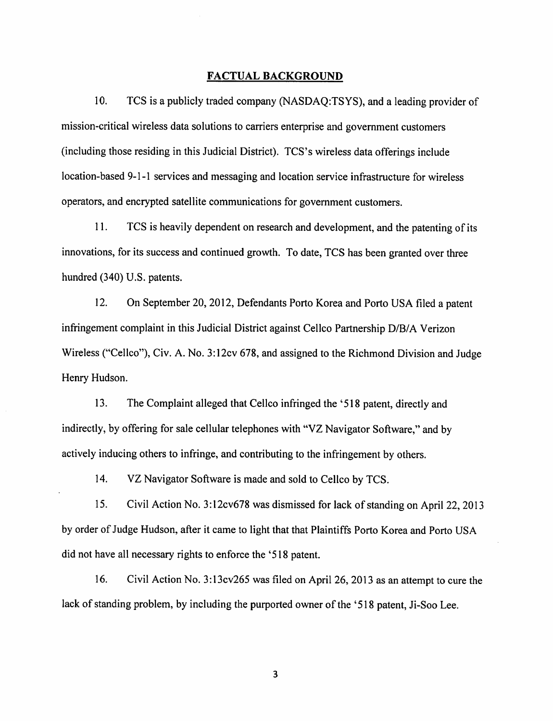## *FACTUAL BACKGROUND*

10. TCS is a publicly traded company (NASDAQ:TSYS), and a leading provider of mission-critical wireless data solutions to carriers enterprise and government customers (including those residing in this Judicial District). TCS's wireless data offerings include location-based 9-1-1 services and messaging and location service infrastructure for wireless operators, and encrypted satellite communications for government customers.

11. TCS is heavily dependent on research and development, and the patenting of its innovations, for its success and continued growth. To date, TCS has been granted over three hundred (340) U.S. patents.

12. On September 20, 2012, Defendants Porto Korea and Porto USA filed a patent infringement complaint in this Judicial District against Cellco Partnership D/B/A Verizon Wireless ("Cellco"), Civ. A. No. 3:12cv 678, and assigned to the Richmond Division and Judge Henry Hudson.

13. The Complaint alleged that Cellco infringed the '518 patent, directly and indirectly, by offering for sale cellular telephones with "VZ Navigator Software," and by actively inducing others to infringe, and contributing to the infringement by others.

14. VZ Navigator Software is made and sold to Cellco by TCS.

15. Civil Action No. 3:12cv678 was dismissed for lack of standing on April 22, 2013 by order of Judge Hudson, after it came to light that that Plaintiffs Porto Korea and Porto USA did not have all necessary rights to enforce the '518 patent.

16. Civil Action No. 3:13cv265 was filed on April 26, 2013 as an attempt to cure the lack of standing problem, by including the purported owner of the '518 patent, Ji-Soo Lee.

3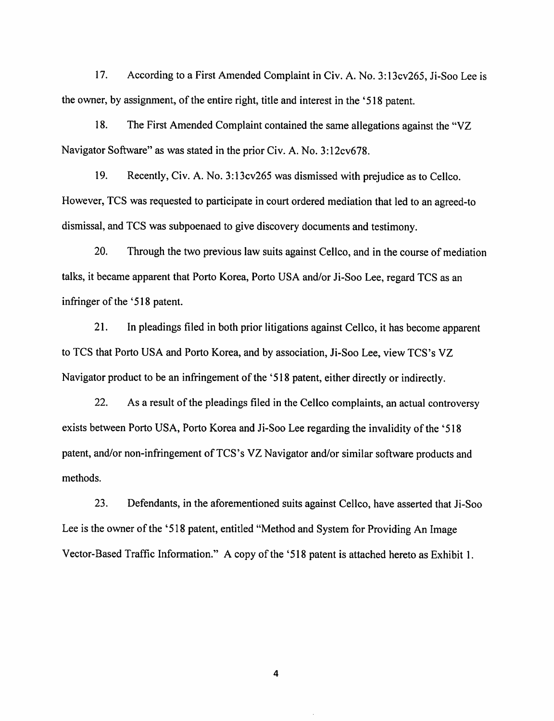17. According to a First Amended Complaint in Civ. A. No. 3:13cv265, Ji-Soo Lee is the owner, by assignment, of the entire right, title and interest in the '518 patent.

18. The First Amended Complaint contained the same allegations against the "VZ Navigator Software" as was stated in the prior Civ. A. No. 3:12cv678.

19. Recently, Civ. A. No. 3:13cv265 was dismissed with prejudice as to Cellco. However, TCS was requested to participate in court ordered mediation that led to an agreed-to dismissal, and TCS was subpoenaed to give discovery documents and testimony.

20. Through the two previous law suits against Cellco, and in the course of mediation talks, it became apparent that Porto Korea, Porto USA and/or Ji-Soo Lee, regard TCS as an infringer of the '518 patent.

21. In pleadings filed in both prior litigations against Cellco, it has become apparent to TCS that Porto USA and Porto Korea, and by association, Ji-Soo Lee, view TCS's VZ Navigator product to be an infringement of the '518 patent, either directly or indirectly.

22. As a result of the pleadings filed in the Cellco complaints, an actual controversy exists between Porto USA, Porto Korea and Ji-Soo Lee regarding the invalidity of the '518 patent, and/or non-infringement of TCS's VZ Navigator and/or similar software products and methods.

23. Defendants, in the aforementioned suits against Cellco, have asserted that Ji-Soo Lee is the owner of the '518 patent, entitled "Method and System for Providing An Image Vector-Based Traffic Information." A copy of the '518 patent is attached hereto as Exhibit 1.

4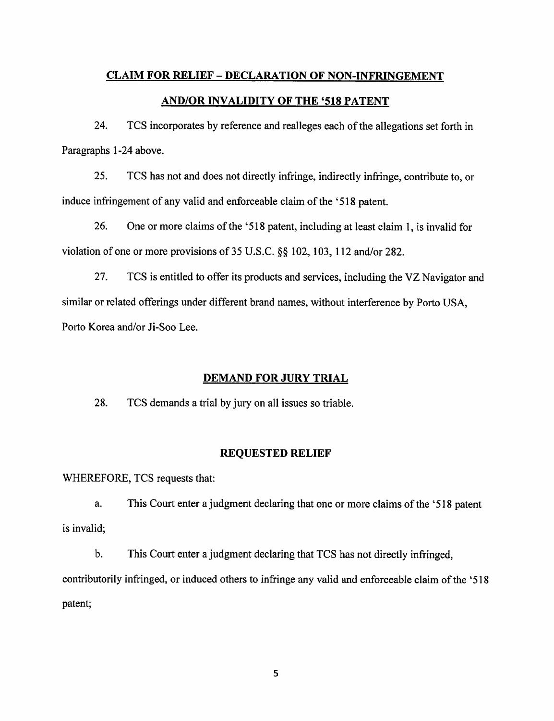# *CLAIM FOR RELIEF - DECLARATION OF NON-INFRINGEMENT AND/OR INVALIDITY OF THE '518 PATENT*

24. TCS incorporates by reference and realleges each of the allegations set forth in Paragraphs 1-24 above.

25. TCS has not and does not directly infringe, indirectly infringe, contribute to, or induce infringement of any valid and enforceable claim of the '518 patent.

26. One or more claims of the '518 patent, including at least claim 1, is invalid for violation of one or more provisions of 35 U.S.C. §§ 102, 103, 112 and/or 282.

27. TCS is entitled to offer its products and services, including the VZ Navigator and similar or related offerings under different brand names, without interference by Porto USA, Porto Korea and/or Ji-Soo Lee.

## *DEMAND FOR JURY TRIAL*

28. TCS demands a trial by jury on all issues so triable.

### *REQUESTED RELIEF*

WHEREFORE, TCS requests that:

a. This Court enter a judgment declaring that one or more claims of the '518 patent is invalid;

b. This Court enter a judgment declaring that TCS has not directly infringed, contributorily infringed, or induced others to infringe any valid and enforceable claim of the '518 patent;